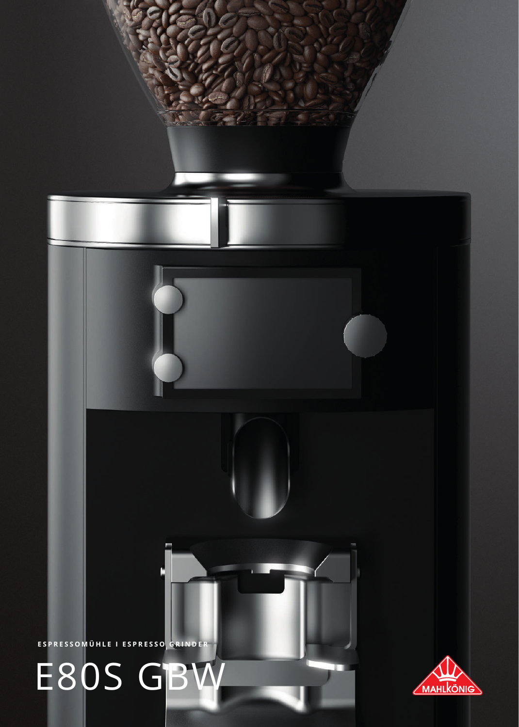## E80S GBW

ESPRESSOMÜHLE I ESPRESSO GRINDER